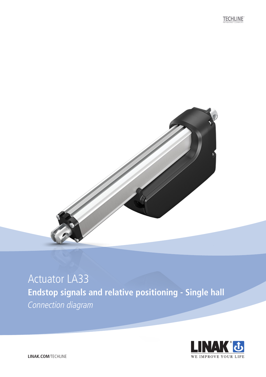**TECHLINE** 



### Actuator LA33 **Endstop signals and relative positioning - Single hall** Connection diagram

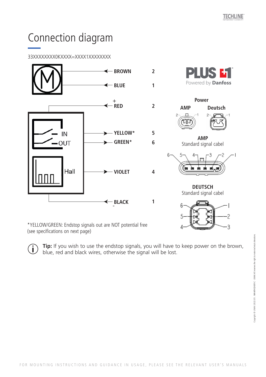# Connection diagram

### 33XXXXXXXX0KXXXX=XXXX1XXXXXXXX



\*YELLOW/GREEN: Endstop signals out are NOT potential free (see specifications on next page)

 $\widehat{\mathbf{j}}$ 

**Tip:** If you wish to use the endstop signals, you will have to keep power on the brown, blue, red and black wires, otherwise the signal will be lost.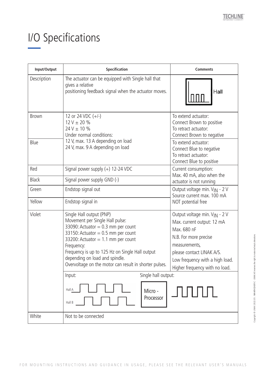# I/O Specifications and relative positions

| Input/Output | Specification                                                                                                                                                                                                                                                                                                                                    | <b>Comments</b>                                                                                                                                                                                                                    |
|--------------|--------------------------------------------------------------------------------------------------------------------------------------------------------------------------------------------------------------------------------------------------------------------------------------------------------------------------------------------------|------------------------------------------------------------------------------------------------------------------------------------------------------------------------------------------------------------------------------------|
| Description  | The actuator can be equipped with Single hall that<br>gives a relative<br>positioning feedback signal when the actuator moves.                                                                                                                                                                                                                   | Hall                                                                                                                                                                                                                               |
| <b>Brown</b> | 12 or 24 VDC $(+/-)$<br>$12 V \pm 20 \%$<br>$24 V \pm 10 \%$<br>Under normal conditions:<br>12 V, max. 13 A depending on load<br>24 V, max. 9 A depending on load                                                                                                                                                                                | To extend actuator:<br>Connect Brown to positive<br>To retract actuator:<br>Connect Brown to negative                                                                                                                              |
| Blue         |                                                                                                                                                                                                                                                                                                                                                  | To extend actuator:<br>Connect Blue to negative<br>To retract actuator:<br>Connect Blue to positive                                                                                                                                |
| Red          | Signal power supply $(+)$ 12-24 VDC                                                                                                                                                                                                                                                                                                              | Current consumption:<br>Max. 40 mA, also when the                                                                                                                                                                                  |
| <b>Black</b> | Signal power supply GND (-)                                                                                                                                                                                                                                                                                                                      | actuator is not running                                                                                                                                                                                                            |
| Green        | Endstop signal out                                                                                                                                                                                                                                                                                                                               | Output voltage min. V <sub>IN</sub> - 2 V<br>Source current max, 100 mA                                                                                                                                                            |
| Yellow       | Endstop signal in                                                                                                                                                                                                                                                                                                                                | NOT potential free                                                                                                                                                                                                                 |
| Violet       | Single Hall output (PNP)<br>Movement per Single Hall pulse:<br>33090: Actuator = $0.3$ mm per count<br>33150: Actuator = $0.5$ mm per count<br>33200: Actuator = $1.1$ mm per count<br>Frequency:<br>Frequency is up to 125 Hz on Single Hall output<br>depending on load and spindle.<br>Overvoltage on the motor can result in shorter pulses. | Output voltage min. V <sub>IN</sub> - 2 V<br>Max. current output: 12 mA<br>Max. 680 nF<br>N.B. For more precise<br>measurements,<br>please contact LINAK A/S.<br>Low frequency with a high load.<br>Higher frequency with no load. |
|              | Single hall output:<br>Input:                                                                                                                                                                                                                                                                                                                    |                                                                                                                                                                                                                                    |
|              | Hall A<br>Micro -<br>Processor<br>Hall B                                                                                                                                                                                                                                                                                                         |                                                                                                                                                                                                                                    |
| White        | Not to be connected                                                                                                                                                                                                                                                                                                                              |                                                                                                                                                                                                                                    |